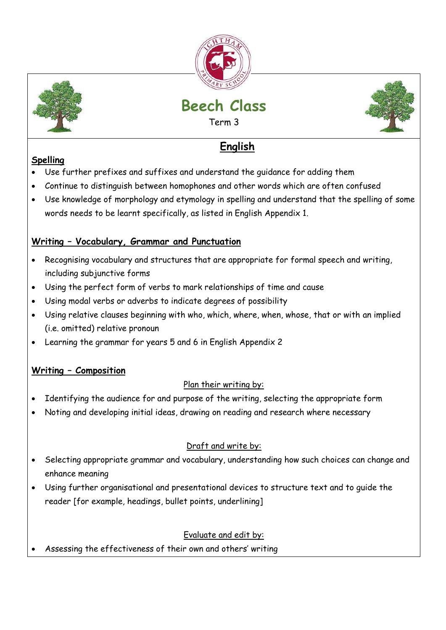



# **Beech Class**

Term 3



## **English**

### **Spelling**

- Use further prefixes and suffixes and understand the guidance for adding them
- Continue to distinguish between homophones and other words which are often confused
- Use knowledge of morphology and etymology in spelling and understand that the spelling of some words needs to be learnt specifically, as listed in English Appendix 1.

### **Writing – Vocabulary, Grammar and Punctuation**

- Recognising vocabulary and structures that are appropriate for formal speech and writing, including subjunctive forms
- Using the perfect form of verbs to mark relationships of time and cause
- Using modal verbs or adverbs to indicate degrees of possibility
- Using relative clauses beginning with who, which, where, when, whose, that or with an implied (i.e. omitted) relative pronoun
- Learning the grammar for years 5 and 6 in English Appendix 2

### **Writing – Composition**

### Plan their writing by:

- Identifying the audience for and purpose of the writing, selecting the appropriate form
- Noting and developing initial ideas, drawing on reading and research where necessary

### Draft and write by:

- Selecting appropriate grammar and vocabulary, understanding how such choices can change and enhance meaning
- Using further organisational and presentational devices to structure text and to guide the reader [for example, headings, bullet points, underlining]

### Evaluate and edit by:

Assessing the effectiveness of their own and others' writing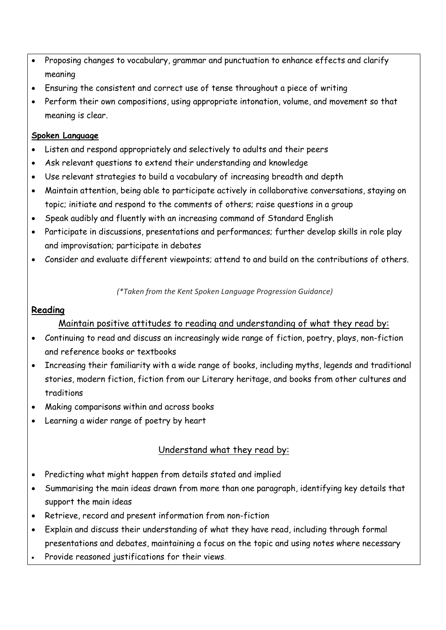- Proposing changes to vocabulary, grammar and punctuation to enhance effects and clarify meaning
- Ensuring the consistent and correct use of tense throughout a piece of writing
- Perform their own compositions, using appropriate intonation, volume, and movement so that meaning is clear.

#### **Spoken Language**

- Listen and respond appropriately and selectively to adults and their peers
- Ask relevant questions to extend their understanding and knowledge
- Use relevant strategies to build a vocabulary of increasing breadth and depth
- Maintain attention, being able to participate actively in collaborative conversations, staying on topic; initiate and respond to the comments of others; raise questions in a group
- Speak audibly and fluently with an increasing command of Standard English
- Participate in discussions, presentations and performances; further develop skills in role play and improvisation; participate in debates
- Consider and evaluate different viewpoints; attend to and build on the contributions of others.

*(\*Taken from the Kent Spoken Language Progression Guidance)*

#### **Reading**

#### Maintain positive attitudes to reading and understanding of what they read by:

- Continuing to read and discuss an increasingly wide range of fiction, poetry, plays, non-fiction and reference books or textbooks
- Increasing their familiarity with a wide range of books, including myths, legends and traditional stories, modern fiction, fiction from our Literary heritage, and books from other cultures and traditions
- Making comparisons within and across books
- Learning a wider range of poetry by heart

#### Understand what they read by:

- Predicting what might happen from details stated and implied
- Summarising the main ideas drawn from more than one paragraph, identifying key details that support the main ideas
- Retrieve, record and present information from non-fiction
- Explain and discuss their understanding of what they have read, including through formal presentations and debates, maintaining a focus on the topic and using notes where necessary
- Provide reasoned justifications for their views.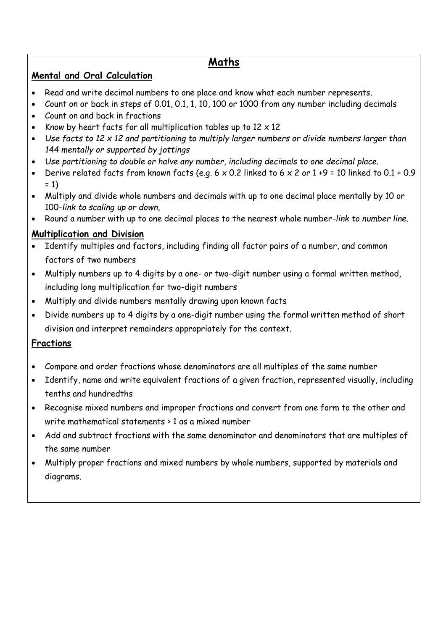### **Maths**

#### **Mental and Oral Calculation**

- Read and write decimal numbers to one place and know what each number represents.
- Count on or back in steps of 0.01, 0.1, 1, 10, 100 or 1000 from any number including decimals
- Count on and back in fractions
- Know by heart facts for all multiplication tables up to  $12 \times 12$
- *Use facts to 12 x 12 and partitioning to multiply larger numbers or divide numbers larger than 144 mentally or supported by jottings*
- *Use partitioning to double or halve any number, including decimals to one decimal place.*
- Derive related facts from known facts (e.g.  $6 \times 0.2$  linked to  $6 \times 2$  or  $1 + 9 = 10$  linked to  $0.1 + 0.9$  $= 1$
- Multiply and divide whole numbers and decimals with up to one decimal place mentally by 10 or 100-*link to scaling up or down,*
- Round a number with up to one decimal places to the nearest whole number*-link to number line.*

### **Multiplication and Division**

- Identify multiples and factors, including finding all factor pairs of a number, and common factors of two numbers
- Multiply numbers up to 4 digits by a one- or two-digit number using a formal written method, including long multiplication for two-digit numbers
- Multiply and divide numbers mentally drawing upon known facts
- Divide numbers up to 4 digits by a one-digit number using the formal written method of short division and interpret remainders appropriately for the context.

#### **Fractions**

- Compare and order fractions whose denominators are all multiples of the same number
- Identify, name and write equivalent fractions of a given fraction, represented visually, including tenths and hundredths
- Recognise mixed numbers and improper fractions and convert from one form to the other and write mathematical statements > 1 as a mixed number
- Add and subtract fractions with the same denominator and denominators that are multiples of the same number
- Multiply proper fractions and mixed numbers by whole numbers, supported by materials and diagrams.